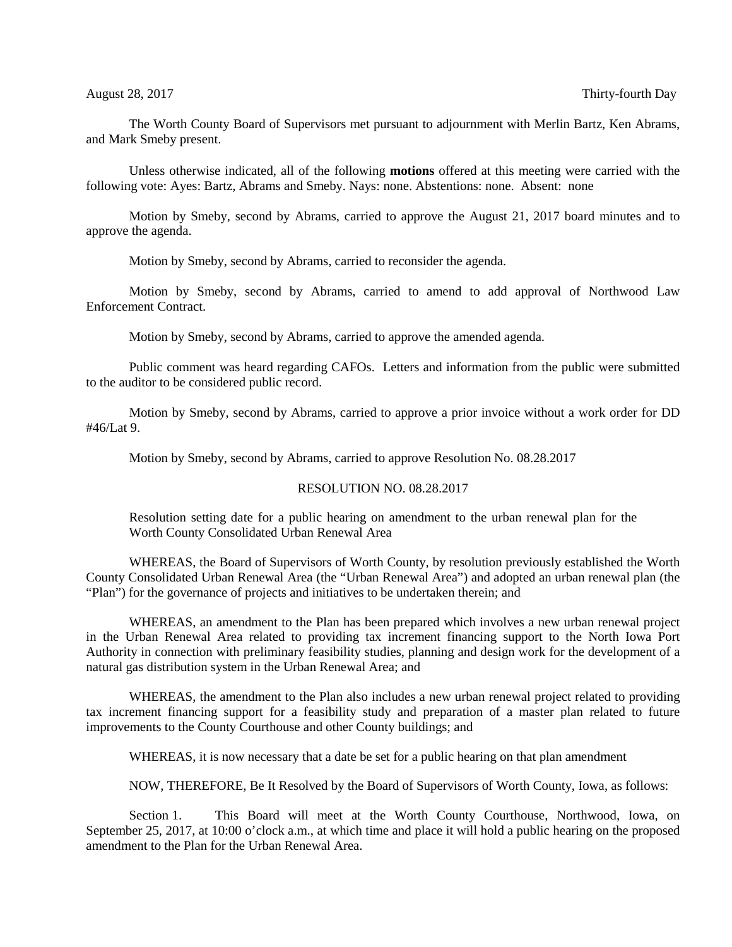The Worth County Board of Supervisors met pursuant to adjournment with Merlin Bartz, Ken Abrams, and Mark Smeby present.

Unless otherwise indicated, all of the following **motions** offered at this meeting were carried with the following vote: Ayes: Bartz, Abrams and Smeby. Nays: none. Abstentions: none. Absent: none

Motion by Smeby, second by Abrams, carried to approve the August 21, 2017 board minutes and to approve the agenda.

Motion by Smeby, second by Abrams, carried to reconsider the agenda.

Motion by Smeby, second by Abrams, carried to amend to add approval of Northwood Law Enforcement Contract.

Motion by Smeby, second by Abrams, carried to approve the amended agenda.

Public comment was heard regarding CAFOs. Letters and information from the public were submitted to the auditor to be considered public record.

Motion by Smeby, second by Abrams, carried to approve a prior invoice without a work order for DD #46/Lat 9.

Motion by Smeby, second by Abrams, carried to approve Resolution No. 08.28.2017

## RESOLUTION NO. 08.28.2017

Resolution setting date for a public hearing on amendment to the urban renewal plan for the Worth County Consolidated Urban Renewal Area

WHEREAS, the Board of Supervisors of Worth County, by resolution previously established the Worth County Consolidated Urban Renewal Area (the "Urban Renewal Area") and adopted an urban renewal plan (the "Plan") for the governance of projects and initiatives to be undertaken therein; and

WHEREAS, an amendment to the Plan has been prepared which involves a new urban renewal project in the Urban Renewal Area related to providing tax increment financing support to the North Iowa Port Authority in connection with preliminary feasibility studies, planning and design work for the development of a natural gas distribution system in the Urban Renewal Area; and

WHEREAS, the amendment to the Plan also includes a new urban renewal project related to providing tax increment financing support for a feasibility study and preparation of a master plan related to future improvements to the County Courthouse and other County buildings; and

WHEREAS, it is now necessary that a date be set for a public hearing on that plan amendment

NOW, THEREFORE, Be It Resolved by the Board of Supervisors of Worth County, Iowa, as follows:

Section 1. This Board will meet at the Worth County Courthouse, Northwood, Iowa, on September 25, 2017, at 10:00 o'clock a.m., at which time and place it will hold a public hearing on the proposed amendment to the Plan for the Urban Renewal Area.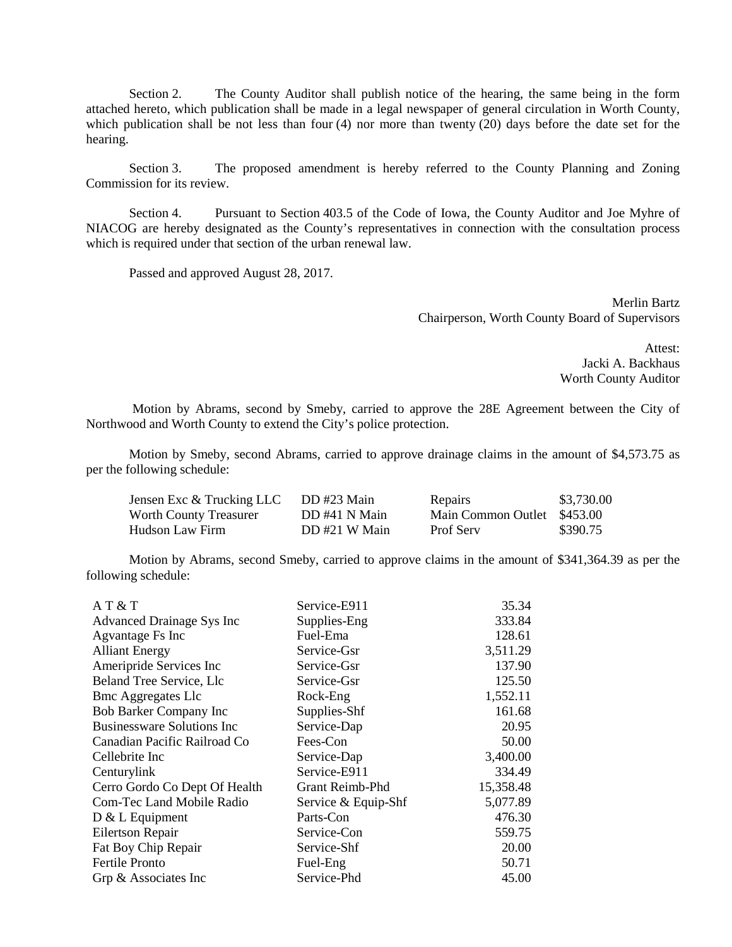Section 2. The County Auditor shall publish notice of the hearing, the same being in the form attached hereto, which publication shall be made in a legal newspaper of general circulation in Worth County, which publication shall be not less than four (4) nor more than twenty (20) days before the date set for the hearing.

Section 3. The proposed amendment is hereby referred to the County Planning and Zoning Commission for its review.

Section 4. Pursuant to Section 403.5 of the Code of Iowa, the County Auditor and Joe Myhre of NIACOG are hereby designated as the County's representatives in connection with the consultation process which is required under that section of the urban renewal law.

Passed and approved August 28, 2017.

Merlin Bartz Chairperson, Worth County Board of Supervisors

> Attest: Jacki A. Backhaus Worth County Auditor

Motion by Abrams, second by Smeby, carried to approve the 28E Agreement between the City of Northwood and Worth County to extend the City's police protection.

Motion by Smeby, second Abrams, carried to approve drainage claims in the amount of \$4,573.75 as per the following schedule:

| Jensen Exc & Trucking LLC | DD #23 Main   | Repairs                     | \$3,730.00 |
|---------------------------|---------------|-----------------------------|------------|
| Worth County Treasurer    | DD #41 N Main | Main Common Outlet \$453.00 |            |
| Hudson Law Firm           | DD#21 W Main  | Prof Serv                   | \$390.75   |

Motion by Abrams, second Smeby, carried to approve claims in the amount of \$341,364.39 as per the following schedule:

| A T & T                           | Service-E911        | 35.34     |
|-----------------------------------|---------------------|-----------|
| <b>Advanced Drainage Sys Inc</b>  | Supplies-Eng        | 333.84    |
| Agvantage Fs Inc                  | Fuel-Ema            | 128.61    |
| <b>Alliant Energy</b>             | Service-Gsr         | 3,511.29  |
| Ameripride Services Inc           | Service-Gsr         | 137.90    |
| Beland Tree Service, Llc          | Service-Gsr         | 125.50    |
| <b>Bmc Aggregates Llc</b>         | Rock-Eng            | 1,552.11  |
| <b>Bob Barker Company Inc</b>     | Supplies-Shf        | 161.68    |
| <b>Businessware Solutions Inc</b> | Service-Dap         | 20.95     |
| Canadian Pacific Railroad Co      | Fees-Con            | 50.00     |
| Cellebrite Inc                    | Service-Dap         | 3,400.00  |
| Centurylink                       | Service-E911        | 334.49    |
| Cerro Gordo Co Dept Of Health     | Grant Reimb-Phd     | 15,358.48 |
| Com-Tec Land Mobile Radio         | Service & Equip-Shf | 5,077.89  |
| D & L Equipment                   | Parts-Con           | 476.30    |
| Eilertson Repair                  | Service-Con         | 559.75    |
| Fat Boy Chip Repair               | Service-Shf         | 20.00     |
| <b>Fertile Pronto</b>             | Fuel-Eng            | 50.71     |
| Grp & Associates Inc              | Service-Phd         | 45.00     |